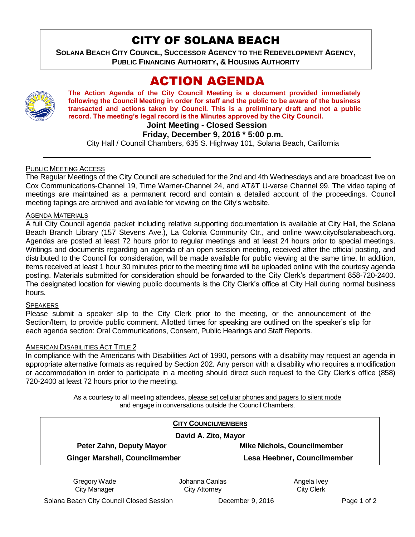## CITY OF SOLANA BEACH

**SOLANA BEACH CITY COUNCIL, SUCCESSOR AGENCY TO THE REDEVELOPMENT AGENCY, PUBLIC FINANCING AUTHORITY, & HOUSING AUTHORITY** 

# ACTION AGENDA



**The Action Agenda of the City Council Meeting is a document provided immediately following the Council Meeting in order for staff and the public to be aware of the business transacted and actions taken by Council. This is a preliminary draft and not a public record. The meeting's legal record is the Minutes approved by the City Council.**

**Joint Meeting - Closed Session**

#### **Friday, December 9, 2016 \* 5:00 p.m.**

City Hall / Council Chambers, 635 S. Highway 101, Solana Beach, California

#### PUBLIC MEETING ACCESS

The Regular Meetings of the City Council are scheduled for the 2nd and 4th Wednesdays and are broadcast live on Cox Communications-Channel 19, Time Warner-Channel 24, and AT&T U-verse Channel 99. The video taping of meetings are maintained as a permanent record and contain a detailed account of the proceedings. Council meeting tapings are archived and available for viewing on the City's website.

#### AGENDA MATERIALS

A full City Council agenda packet including relative supporting documentation is available at City Hall, the Solana Beach Branch Library (157 Stevens Ave.), La Colonia Community Ctr., and online www.cityofsolanabeach.org. Agendas are posted at least 72 hours prior to regular meetings and at least 24 hours prior to special meetings. Writings and documents regarding an agenda of an open session meeting, received after the official posting, and distributed to the Council for consideration, will be made available for public viewing at the same time. In addition, items received at least 1 hour 30 minutes prior to the meeting time will be uploaded online with the courtesy agenda posting. Materials submitted for consideration should be forwarded to the City Clerk's department 858-720-2400. The designated location for viewing public documents is the City Clerk's office at City Hall during normal business hours.

#### **SPEAKERS**

Please submit a speaker slip to the City Clerk prior to the meeting, or the announcement of the Section/Item, to provide public comment. Allotted times for speaking are outlined on the speaker's slip for each agenda section: Oral Communications, Consent, Public Hearings and Staff Reports.

#### AMERICAN DISABILITIES ACT TITLE 2

In compliance with the Americans with Disabilities Act of 1990, persons with a disability may request an agenda in appropriate alternative formats as required by Section 202. Any person with a disability who requires a modification or accommodation in order to participate in a meeting should direct such request to the City Clerk's office (858) 720-2400 at least 72 hours prior to the meeting.

> As a courtesy to all meeting attendees, please set cellular phones and pagers to silent mode and engage in conversations outside the Council Chambers.

|                                       | <b>CITY COUNCILMEMBERS</b>         |
|---------------------------------------|------------------------------------|
| David A. Zito, Mayor                  |                                    |
| Peter Zahn, Deputy Mayor              | <b>Mike Nichols, Councilmember</b> |
| <b>Ginger Marshall, Councilmember</b> | Lesa Heebner, Councilmember        |

Gregory Wade City Manager

Johanna Canlas City Attorney

Angela Ivey City Clerk

Solana Beach City Council Closed Session December 9, 2016 Page 1 of 2